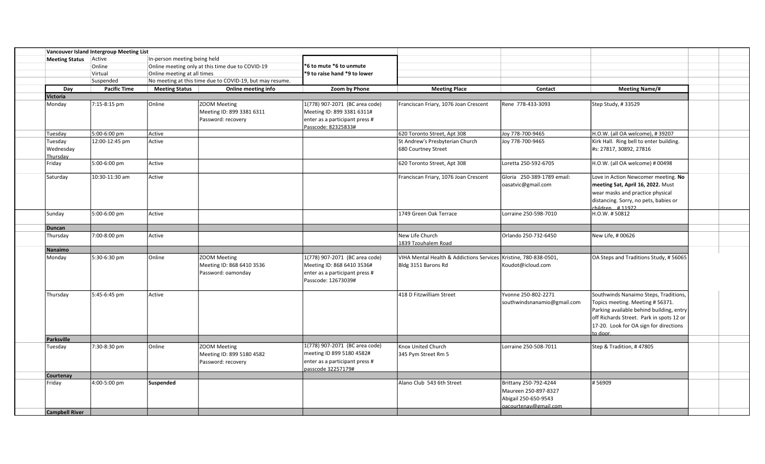|                       | Vancouver Island Intergroup Meeting List |                                                  |                                                          |                                |                                                                  |                             |                                          |
|-----------------------|------------------------------------------|--------------------------------------------------|----------------------------------------------------------|--------------------------------|------------------------------------------------------------------|-----------------------------|------------------------------------------|
| Meeting Status Active | In-person meeting being held             |                                                  |                                                          |                                |                                                                  |                             |                                          |
|                       | Online                                   | Online meeting only at this time due to COVID-19 |                                                          | *6 to mute *6 to unmute        |                                                                  |                             |                                          |
|                       | Virtual                                  | Online meeting at all times                      |                                                          | *9 to raise hand *9 to lower   |                                                                  |                             |                                          |
|                       | Suspended                                |                                                  | No meeting at this time due to COVID-19, but may resume. |                                |                                                                  |                             |                                          |
| Day                   | <b>Pacific Time</b>                      | <b>Meeting Status</b>                            | Online meeting info                                      | Zoom by Phone                  | <b>Meeting Place</b>                                             | Contact                     | <b>Meeting Name/#</b>                    |
| <b>Victoria</b>       |                                          |                                                  |                                                          |                                |                                                                  |                             |                                          |
| Monday                | 7:15-8:15 pm                             | Online                                           | ZOOM Meeting                                             | 1(778) 907-2071 (BC area code) | Franciscan Friary, 1076 Joan Crescent                            | Rene 778-433-3093           | Step Study, #33529                       |
|                       |                                          |                                                  | Meeting ID: 899 3381 6311                                | Meeting ID: 899 3381 6311#     |                                                                  |                             |                                          |
|                       |                                          |                                                  | Password: recovery                                       | enter as a participant press # |                                                                  |                             |                                          |
|                       |                                          |                                                  |                                                          | Passcode: 82325833#            |                                                                  |                             |                                          |
| Tuesday               | 5:00-6:00 pm                             | Active                                           |                                                          |                                | 620 Toronto Street, Apt 308                                      | Joy 778-700-9465            | H.O.W. (all OA welcome), #39207          |
| Tuesday               | 12:00-12:45 pm                           | Active                                           |                                                          |                                | St Andrew's Presbyterian Church                                  | Joy 778-700-9465            | Kirk Hall. Ring bell to enter building.  |
| Wednesday             |                                          |                                                  |                                                          |                                | 680 Courtney Street                                              |                             | #s: 27817, 30892, 27816                  |
| Thursday              |                                          |                                                  |                                                          |                                |                                                                  |                             |                                          |
| Friday                | 5:00-6:00 pm                             | Active                                           |                                                          |                                | 620 Toronto Street, Apt 308                                      | Loretta 250-592-6705        | H.O.W. (all OA welcome) # 00498          |
| Saturday              | 10:30-11:30 am                           | Active                                           |                                                          |                                | Franciscan Friary, 1076 Joan Crescent                            | Gloria 250-389-1789 email:  | Love in Action Newcomer meeting. No      |
|                       |                                          |                                                  |                                                          |                                |                                                                  | oasatvic@gmail.com          | meeting Sat, April 16, 2022. Must        |
|                       |                                          |                                                  |                                                          |                                |                                                                  |                             | wear masks and practice physical         |
|                       |                                          |                                                  |                                                          |                                |                                                                  |                             | distancing. Sorry, no pets, babies or    |
|                       |                                          |                                                  |                                                          |                                |                                                                  |                             | children #11972                          |
| Sunday                | 5:00-6:00 pm                             | Active                                           |                                                          |                                | 1749 Green Oak Terrace                                           | Lorraine 250-598-7010       | H.O.W. #50812                            |
|                       |                                          |                                                  |                                                          |                                |                                                                  |                             |                                          |
| Duncan<br>Thursday    | 7:00-8:00 pm                             | Active                                           |                                                          |                                | New Life Church                                                  | Orlando 250-732-6450        | New Life, #00626                         |
|                       |                                          |                                                  |                                                          |                                | 1839 Tzouhalem Road                                              |                             |                                          |
| <b>Nanaimo</b>        |                                          |                                                  |                                                          |                                |                                                                  |                             |                                          |
| Monday                | 5:30-6:30 pm                             | Online                                           | ZOOM Meeting                                             | 1(778) 907-2071 (BC area code) | VIHA Mental Health & Addictions Services Kristine, 780-838-0501, |                             | OA Steps and Traditions Study, #56065    |
|                       |                                          |                                                  | Meeting ID: 868 6410 3536                                | Meeting ID: 868 6410 3536#     | Bldg 3151 Barons Rd                                              | Koudot@icloud.com           |                                          |
|                       |                                          |                                                  | Password: oamonday                                       | enter as a participant press # |                                                                  |                             |                                          |
|                       |                                          |                                                  |                                                          | Passcode: 12673039#            |                                                                  |                             |                                          |
|                       |                                          |                                                  |                                                          |                                |                                                                  |                             |                                          |
| Thursday              | 5:45-6:45 pm                             | Active                                           |                                                          |                                | 418 D Fitzwilliam Street                                         | Yvonne 250-802-2271         | Southwinds Nanaimo Steps, Traditions,    |
|                       |                                          |                                                  |                                                          |                                |                                                                  | southwindsnanamio@gmail.com | Topics meeting. Meeting # 56371.         |
|                       |                                          |                                                  |                                                          |                                |                                                                  |                             | Parking available behind building, entry |
|                       |                                          |                                                  |                                                          |                                |                                                                  |                             |                                          |
|                       |                                          |                                                  |                                                          |                                |                                                                  |                             | off Richards Street. Park in spots 12 or |
|                       |                                          |                                                  |                                                          |                                |                                                                  |                             | 17-20. Look for OA sign for directions   |
| <b>Parksville</b>     |                                          |                                                  |                                                          |                                |                                                                  |                             | to door.                                 |
|                       | 7:30-8:30 pm                             | Online                                           | ZOOM Meeting                                             | 1(778) 907-2071 (BC area code) | Knox United Church                                               | Lorraine 250-508-7011       | Step & Tradition, #47805                 |
| Tuesday               |                                          |                                                  |                                                          | meeting ID 899 5180 4582#      |                                                                  |                             |                                          |
|                       |                                          |                                                  | Meeting ID: 899 5180 4582                                |                                | 345 Pym Street Rm 5                                              |                             |                                          |
|                       |                                          |                                                  | Password: recovery                                       | enter as a participant press # |                                                                  |                             |                                          |
|                       |                                          |                                                  |                                                          | passcode 32257179#             |                                                                  |                             |                                          |
| Courtenay<br>Friday   | 4:00-5:00 pm                             | Suspended                                        |                                                          |                                | Alano Club 543 6th Street                                        | Brittany 250-792-4244       | #56909                                   |
|                       |                                          |                                                  |                                                          |                                |                                                                  | Maureen 250-897-8327        |                                          |
|                       |                                          |                                                  |                                                          |                                |                                                                  |                             |                                          |
|                       |                                          |                                                  |                                                          |                                |                                                                  | Abigail 250-650-9543        |                                          |
| <b>Campbell River</b> |                                          |                                                  |                                                          |                                |                                                                  | oacourtenav@gmail.com       |                                          |
|                       |                                          |                                                  |                                                          |                                |                                                                  |                             |                                          |